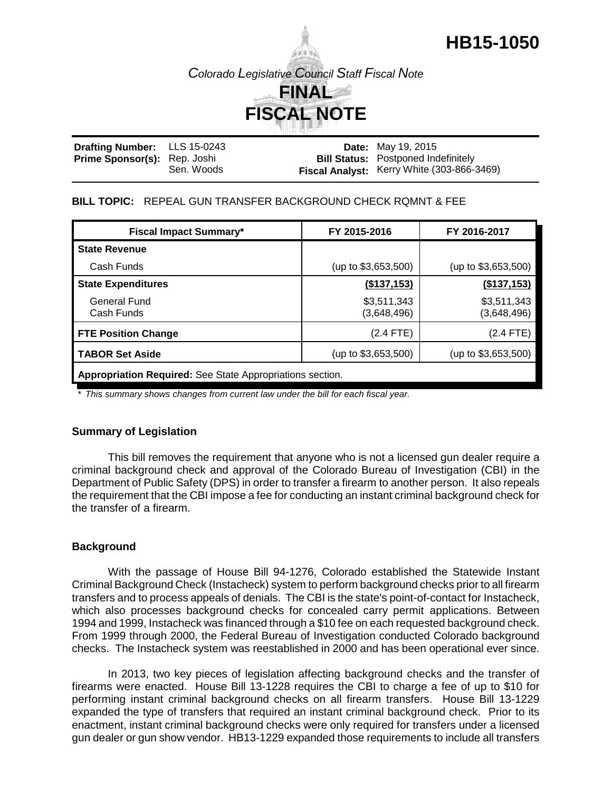# **HB15-1050**

*Colorado Legislative Council Staff Fiscal Note*



| Drafting Number: LLS 15-0243        |            | <b>Date:</b> May 19, 2015                  |
|-------------------------------------|------------|--------------------------------------------|
| <b>Prime Sponsor(s):</b> Rep. Joshi |            | <b>Bill Status: Postponed Indefinitely</b> |
|                                     | Sen. Woods | Fiscal Analyst: Kerry White (303-866-3469) |

## **BILL TOPIC:** REPEAL GUN TRANSFER BACKGROUND CHECK RQMNT & FEE

| <b>Fiscal Impact Summary*</b>                                    | FY 2015-2016               | FY 2016-2017               |  |  |  |
|------------------------------------------------------------------|----------------------------|----------------------------|--|--|--|
| <b>State Revenue</b>                                             |                            |                            |  |  |  |
| Cash Funds                                                       | (up to \$3,653,500)        | (up to $$3,653,500$ )      |  |  |  |
| <b>State Expenditures</b>                                        | (\$137,153)                | (\$137,153)                |  |  |  |
| General Fund<br>Cash Funds                                       | \$3,511,343<br>(3,648,496) | \$3,511,343<br>(3,648,496) |  |  |  |
| <b>FTE Position Change</b>                                       | $(2.4$ FTE)                | (2.4 FTE)                  |  |  |  |
| TABOR Set Aside                                                  | (up to \$3,653,500)        | (up to $$3,653,500$ )      |  |  |  |
| <b>Appropriation Required:</b> See State Appropriations section. |                            |                            |  |  |  |

*\* This summary shows changes from current law under the bill for each fiscal year.* 

# **Summary of Legislation**

This bill removes the requirement that anyone who is not a licensed gun dealer require a criminal background check and approval of the Colorado Bureau of Investigation (CBI) in the Department of Public Safety (DPS) in order to transfer a firearm to another person. It also repeals the requirement that the CBI impose a fee for conducting an instant criminal background check for the transfer of a firearm.

# **Background**

With the passage of House Bill 94-1276, Colorado established the Statewide Instant Criminal Background Check (Instacheck) system to perform background checks prior to all firearm transfers and to process appeals of denials. The CBI is the state's point-of-contact for Instacheck, which also processes background checks for concealed carry permit applications. Between 1994 and 1999, Instacheck was financed through a \$10 fee on each requested background check. From 1999 through 2000, the Federal Bureau of Investigation conducted Colorado background checks. The Instacheck system was reestablished in 2000 and has been operational ever since.

In 2013, two key pieces of legislation affecting background checks and the transfer of firearms were enacted. House Bill 13-1228 requires the CBI to charge a fee of up to \$10 for performing instant criminal background checks on all firearm transfers. House Bill 13-1229 expanded the type of transfers that required an instant criminal background check. Prior to its enactment, instant criminal background checks were only required for transfers under a licensed gun dealer or gun show vendor. HB13-1229 expanded those requirements to include all transfers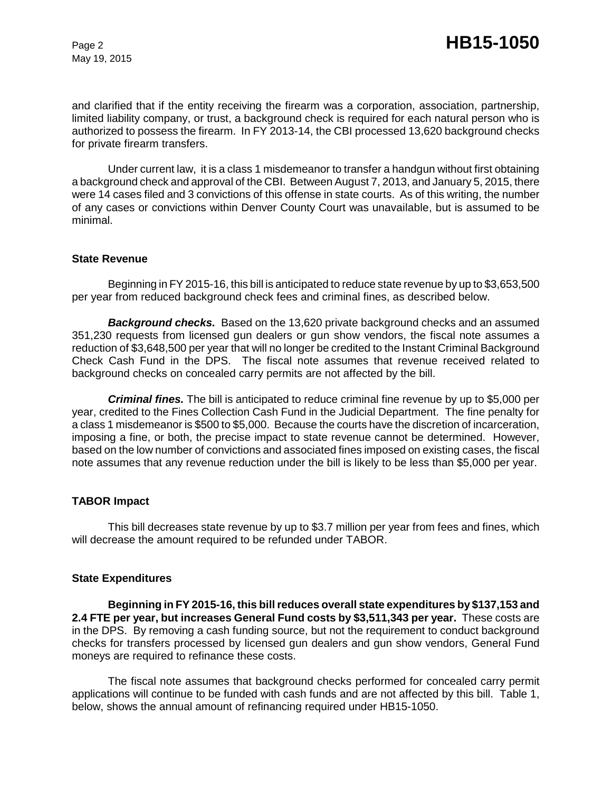May 19, 2015

and clarified that if the entity receiving the firearm was a corporation, association, partnership, limited liability company, or trust, a background check is required for each natural person who is authorized to possess the firearm. In FY 2013-14, the CBI processed 13,620 background checks for private firearm transfers.

Under current law, it is a class 1 misdemeanor to transfer a handgun without first obtaining a background check and approval of the CBI. Between August 7, 2013, and January 5, 2015, there were 14 cases filed and 3 convictions of this offense in state courts. As of this writing, the number of any cases or convictions within Denver County Court was unavailable, but is assumed to be minimal.

#### **State Revenue**

Beginning in FY 2015-16, this bill is anticipated to reduce state revenue by up to \$3,653,500 per year from reduced background check fees and criminal fines, as described below.

*Background checks.* Based on the 13,620 private background checks and an assumed 351,230 requests from licensed gun dealers or gun show vendors, the fiscal note assumes a reduction of \$3,648,500 per year that will no longer be credited to the Instant Criminal Background Check Cash Fund in the DPS. The fiscal note assumes that revenue received related to background checks on concealed carry permits are not affected by the bill.

*Criminal fines.* The bill is anticipated to reduce criminal fine revenue by up to \$5,000 per year, credited to the Fines Collection Cash Fund in the Judicial Department. The fine penalty for a class 1 misdemeanor is \$500 to \$5,000. Because the courts have the discretion of incarceration, imposing a fine, or both, the precise impact to state revenue cannot be determined. However, based on the low number of convictions and associated fines imposed on existing cases, the fiscal note assumes that any revenue reduction under the bill is likely to be less than \$5,000 per year.

### **TABOR Impact**

This bill decreases state revenue by up to \$3.7 million per year from fees and fines, which will decrease the amount required to be refunded under TABOR.

#### **State Expenditures**

**Beginning in FY 2015-16, this bill reduces overall state expenditures by \$137,153 and 2.4 FTE per year, but increases General Fund costs by \$3,511,343 per year.** These costs are in the DPS. By removing a cash funding source, but not the requirement to conduct background checks for transfers processed by licensed gun dealers and gun show vendors, General Fund moneys are required to refinance these costs.

The fiscal note assumes that background checks performed for concealed carry permit applications will continue to be funded with cash funds and are not affected by this bill. Table 1, below, shows the annual amount of refinancing required under HB15-1050.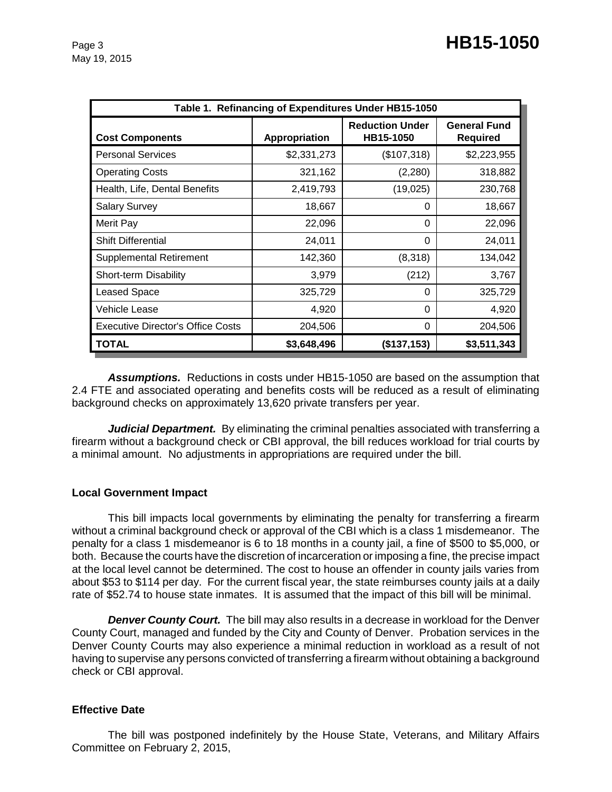| Table 1. Refinancing of Expenditures Under HB15-1050 |               |                                     |                                 |  |  |  |
|------------------------------------------------------|---------------|-------------------------------------|---------------------------------|--|--|--|
| <b>Cost Components</b>                               | Appropriation | <b>Reduction Under</b><br>HB15-1050 | <b>General Fund</b><br>Required |  |  |  |
| <b>Personal Services</b>                             | \$2,331,273   | (\$107,318)                         | \$2,223,955                     |  |  |  |
| <b>Operating Costs</b>                               | 321,162       | (2,280)                             | 318,882                         |  |  |  |
| Health, Life, Dental Benefits                        | 2,419,793     | (19,025)                            | 230,768                         |  |  |  |
| <b>Salary Survey</b>                                 | 18,667        | 0                                   | 18,667                          |  |  |  |
| Merit Pay                                            | 22,096        | 0                                   | 22,096                          |  |  |  |
| <b>Shift Differential</b>                            | 24,011        | 0                                   | 24,011                          |  |  |  |
| <b>Supplemental Retirement</b>                       | 142,360       | (8,318)                             | 134,042                         |  |  |  |
| Short-term Disability                                | 3,979         | (212)                               | 3,767                           |  |  |  |
| Leased Space                                         | 325,729       | 0                                   | 325,729                         |  |  |  |
| Vehicle Lease                                        | 4,920         | 0                                   | 4,920                           |  |  |  |
| <b>Executive Director's Office Costs</b>             | 204,506       | 0                                   | 204,506                         |  |  |  |
| <b>TOTAL</b>                                         | \$3,648,496   | (\$137,153)                         | \$3,511,343                     |  |  |  |

*Assumptions.* Reductions in costs under HB15-1050 are based on the assumption that 2.4 FTE and associated operating and benefits costs will be reduced as a result of eliminating background checks on approximately 13,620 private transfers per year.

**Judicial Department.** By eliminating the criminal penalties associated with transferring a firearm without a background check or CBI approval, the bill reduces workload for trial courts by a minimal amount. No adjustments in appropriations are required under the bill.

# **Local Government Impact**

This bill impacts local governments by eliminating the penalty for transferring a firearm without a criminal background check or approval of the CBI which is a class 1 misdemeanor. The penalty for a class 1 misdemeanor is 6 to 18 months in a county jail, a fine of \$500 to \$5,000, or both. Because the courts have the discretion of incarceration or imposing a fine, the precise impact at the local level cannot be determined. The cost to house an offender in county jails varies from about \$53 to \$114 per day. For the current fiscal year, the state reimburses county jails at a daily rate of \$52.74 to house state inmates. It is assumed that the impact of this bill will be minimal.

*Denver County Court.* The bill may also results in a decrease in workload for the Denver County Court, managed and funded by the City and County of Denver. Probation services in the Denver County Courts may also experience a minimal reduction in workload as a result of not having to supervise any persons convicted of transferring a firearm without obtaining a background check or CBI approval.

# **Effective Date**

The bill was postponed indefinitely by the House State, Veterans, and Military Affairs Committee on February 2, 2015,